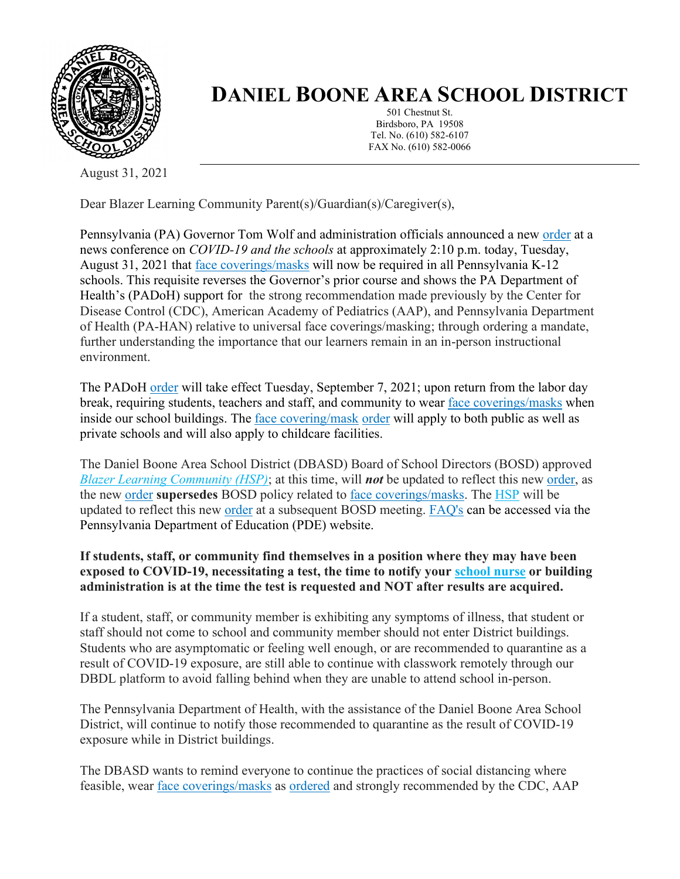

## **DANIEL BOONE AREA SCHOOL DISTRICT**

501 Chestnut St. Birdsboro, PA 19508 Tel. No. (610) 582-6107 FAX No. (610) 582-0066

August 31, 2021

Dear Blazer Learning Community Parent(s)/Guardian(s)/Caregiver(s),

Pennsylvania (PA) Governor Tom Wolf and administration officials announced a new [order](https://www.health.pa.gov/topics/Documents/Diseases%20and%20Conditions/Order%20of%20the%20Acting%20Secretary%20Directing%20Face%20Coverings%20in%20Schools.pdf) at a news conference on *COVID-19 and the schools* at approximately 2:10 p.m. today, Tuesday, August 31, 2021 that [face coverings/masks](https://www.cdc.gov/coronavirus/2019-ncov/prevent-getting-sick/cloth-face-cover-guidance.html) will now be required in all Pennsylvania K-12 schools. This requisite reverses the Governor's prior course and shows the PA Department of Health's (PADoH) support for the strong recommendation made previously by the Center for Disease Control (CDC), American Academy of Pediatrics (AAP), and Pennsylvania Department of Health (PA-HAN) relative to universal face coverings/masking; through ordering a mandate, further understanding the importance that our learners remain in an in-person instructional environment.

The PADoH [order](https://www.health.pa.gov/topics/Documents/Diseases%20and%20Conditions/Order%20of%20the%20Acting%20Secretary%20Directing%20Face%20Coverings%20in%20Schools.pdf) will take effect Tuesday, September 7, 2021; upon return from the labor day break, requiring students, teachers and staff, and community to wear [face coverings/masks](https://www.cdc.gov/coronavirus/2019-ncov/prevent-getting-sick/cloth-face-cover-guidance.html) when inside our school buildings. The [face covering/mask](https://www.cdc.gov/coronavirus/2019-ncov/prevent-getting-sick/cloth-face-cover-guidance.html) [order](https://www.health.pa.gov/topics/Documents/Diseases%20and%20Conditions/Order%20of%20the%20Acting%20Secretary%20Directing%20Face%20Coverings%20in%20Schools.pdf) will apply to both public as well as private schools and will also apply to childcare facilities.

The Daniel Boone Area School District (DBASD) Board of School Directors (BOSD) approved *[Blazer Learning Community \(HSP\)](https://www.dboone.org/Page/516)*; at this time, will *not* be updated to reflect this new [order,](https://www.health.pa.gov/topics/Documents/Diseases%20and%20Conditions/Order%20of%20the%20Acting%20Secretary%20Directing%20Face%20Coverings%20in%20Schools.pdf) as the new [order](https://www.health.pa.gov/topics/Documents/Diseases%20and%20Conditions/Order%20of%20the%20Acting%20Secretary%20Directing%20Face%20Coverings%20in%20Schools.pdf) **supersedes** BOSD policy related to [face coverings/masks.](https://www.cdc.gov/coronavirus/2019-ncov/prevent-getting-sick/cloth-face-cover-guidance.html) The [HSP](https://www.dboone.org/Page/516) will be updated to reflect this new [order](https://www.health.pa.gov/topics/Documents/Diseases%20and%20Conditions/Order%20of%20the%20Acting%20Secretary%20Directing%20Face%20Coverings%20in%20Schools.pdf) at a subsequent BOSD meeting. [FAQ's](https://www.education.pa.gov/Schools/safeschools/emergencyplanning/COVID-19/SchoolReopeningGuidance/ReopeningPreKto12/MaskingOrder/Pages/default.aspx) can be accessed via the Pennsylvania Department of Education (PDE) website.

## **If students, staff, or community find themselves in a position where they may have been exposed to COVID-19, necessitating a test, the time to notify your [school nurse](https://www.dboone.org/Page/484) or building administration is at the time the test is requested and NOT after results are acquired.**

If a student, staff, or community member is exhibiting any symptoms of illness, that student or staff should not come to school and community member should not enter District buildings. Students who are asymptomatic or feeling well enough, or are recommended to quarantine as a result of COVID-19 exposure, are still able to continue with classwork remotely through our DBDL platform to avoid falling behind when they are unable to attend school in-person.

The Pennsylvania Department of Health, with the assistance of the Daniel Boone Area School District, will continue to notify those recommended to quarantine as the result of COVID-19 exposure while in District buildings.

The DBASD wants to remind everyone to continue the practices of social distancing where feasible, wear [face coverings/masks](https://www.cdc.gov/coronavirus/2019-ncov/prevent-getting-sick/cloth-face-cover-guidance.html) as [ordered](https://www.health.pa.gov/topics/Documents/Diseases%20and%20Conditions/Order%20of%20the%20Acting%20Secretary%20Directing%20Face%20Coverings%20in%20Schools.pdf) and strongly recommended by the CDC, AAP